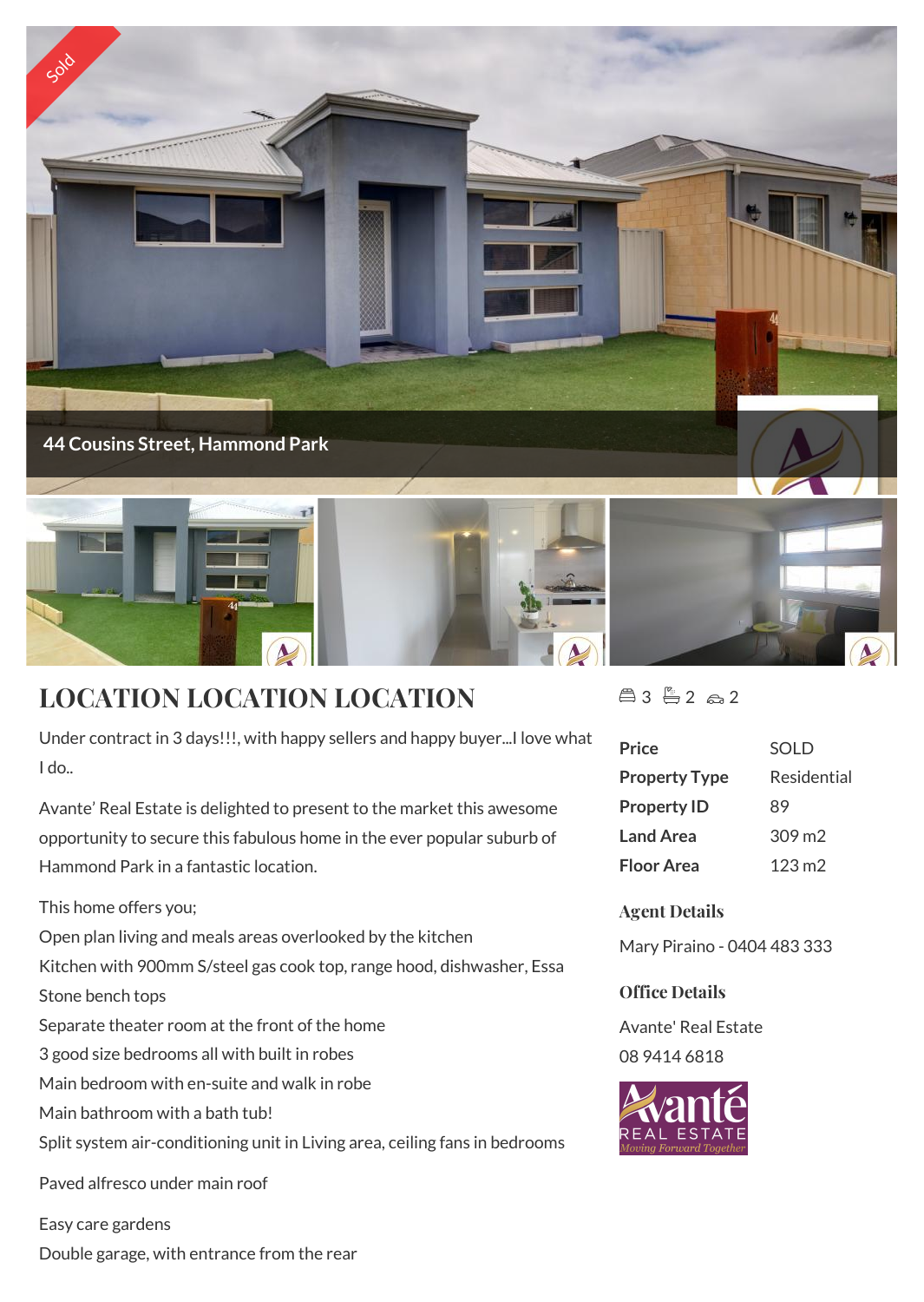

## **LOCATION LOCATION LOCATION**

Under contract in 3 days!!!, with happy sellers and happy buyer...I love what I do..

Avante' Real Estate is delighted to present to the market this awesome opportunity to secure this fabulous home in the ever popular suburb of Hammond Park in a fantastic location.

This home offers you;

Open plan living and meals areas overlooked by the kitchen

Kitchen with 900mm S/steel gas cook top, range hood, dishwasher, Essa

Stone bench tops

Separate theater room at the front of the home

3 good size bedrooms all with built in robes

Main bedroom with en-suite and walk in robe

Main bathroom with a bath tub!

Split system air-conditioning unit in Living area, ceiling fans in bedrooms

Paved alfresco under main roof

Easy care gardens

Double garage, with entrance from the rear

 $43 - 2 2 2$ 

| <b>SOLD</b>     |
|-----------------|
| Residential     |
| 89              |
| $309 \text{ m}$ |
| $123 \text{ m}$ |
|                 |

**Agent Details**

Mary Piraino - 0404 483 333

## **Office Details**

Avante' Real Estate 08 9414 6818